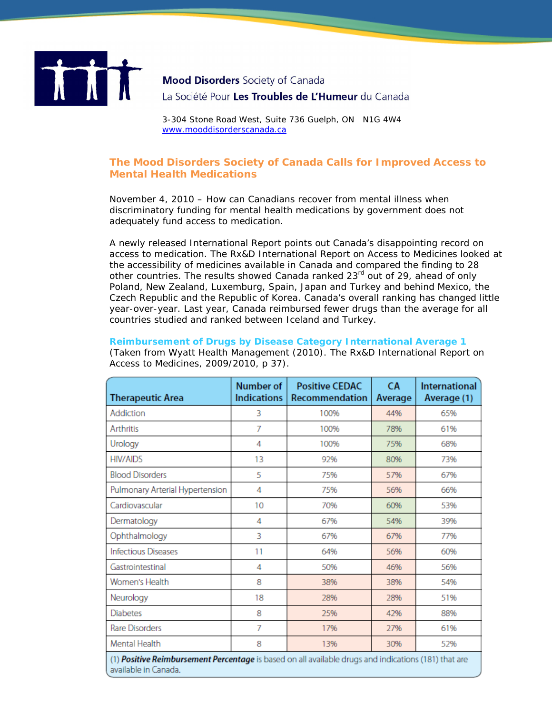

## **Mood Disorders** Society of Canada La Société Pour Les Troubles de L'Humeur du Canada

3-304 Stone Road West, Suite 736 Guelph, ON N1G 4W4 [www.mooddisorderscanada.ca](http://www.mooddisorderscanada.ca/)

## **The Mood Disorders Society of Canada Calls for Improved Access to Mental Health Medications**

November 4, 2010 – How can Canadians recover from mental illness when discriminatory funding for mental health medications by government does not adequately fund access to medication.

A newly released International Report points out Canada's disappointing record on access to medication. The Rx&D International Report on Access to Medicines looked at the accessibility of medicines available in Canada and compared the finding to 28 other countries. The results showed Canada ranked 23<sup>rd</sup> out of 29, ahead of only Poland, New Zealand, Luxemburg, Spain, Japan and Turkey and behind Mexico, the Czech Republic and the Republic of Korea. Canada's overall ranking has changed little year-over-year. Last year, Canada reimbursed fewer drugs than the average for all countries studied and ranked between Iceland and Turkey.

## **Reimbursement of Drugs by Disease Category International Average 1**  (Taken from Wyatt Health Management (2010). *The Rx&D International Report on Access to Medicines, 2009/2010*, p 37).

| <b>Therapeutic Area</b>                                                                              | Number of<br><b>Indications</b> | <b>Positive CEDAC</b><br>Recommendation | <b>CA</b><br>Average | <b>International</b><br>Average (1) |  |
|------------------------------------------------------------------------------------------------------|---------------------------------|-----------------------------------------|----------------------|-------------------------------------|--|
| Addiction                                                                                            | 3                               | 100%                                    | 44%                  | 65%                                 |  |
| Arthritis                                                                                            | 7                               | 100%                                    | 78%                  | 61%                                 |  |
| Urology                                                                                              | 4                               | 100%                                    | 75%                  | 68%                                 |  |
| <b>HIV/AIDS</b>                                                                                      | 13                              | 92%                                     | 80%                  | 73%                                 |  |
| <b>Blood Disorders</b>                                                                               | 5                               | 75%                                     | 57%                  | 67%                                 |  |
| Pulmonary Arterial Hypertension                                                                      | 4                               | 75%                                     | 56%                  | 66%                                 |  |
| Cardiovascular                                                                                       | 10                              | 70%                                     | 60%                  | 53%                                 |  |
| Dermatology                                                                                          | 4                               | 67%                                     | 54%                  | 39%                                 |  |
| Ophthalmology                                                                                        | 3                               | 67%                                     | 67%                  | 77%                                 |  |
| <b>Infectious Diseases</b>                                                                           | 11                              | 64%                                     | 56%                  | 60%                                 |  |
| Gastrointestinal                                                                                     | 4                               | 50%                                     | 46%                  | 56%                                 |  |
| Women's Health                                                                                       | 8                               | 38%                                     | 38%                  | 54%                                 |  |
| Neurology                                                                                            | 18                              | 28%                                     | 28%                  | 51%                                 |  |
| Diabetes                                                                                             | 8                               | 25%                                     | 42%                  | 88%                                 |  |
| Rare Disorders                                                                                       | 7                               | 17%                                     | 27%                  | 61%                                 |  |
| Mental Health                                                                                        | 8                               | 13%                                     | 30%                  | 52%                                 |  |
| (1) Positive Reimbursement Percentage is based on all available drugs and indications (181) that are |                                 |                                         |                      |                                     |  |

available in Canada.